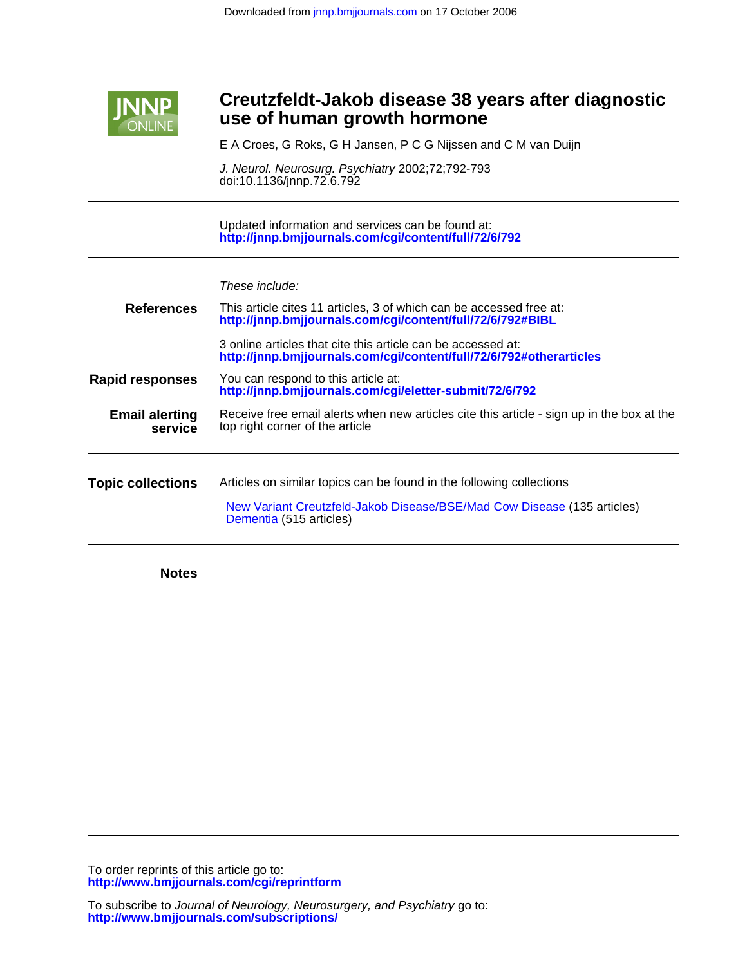

## **use of human growth hormone Creutzfeldt-Jakob disease 38 years after diagnostic**

E A Croes, G Roks, G H Jansen, P C G Nijssen and C M van Duijn

doi:10.1136/jnnp.72.6.792 J. Neurol. Neurosurg. Psychiatry 2002;72;792-793

**<http://jnnp.bmjjournals.com/cgi/content/full/72/6/792>** Updated information and services can be found at:

|  | These include: |
|--|----------------|
|--|----------------|

| <b>References</b>                | This article cites 11 articles, 3 of which can be accessed free at:<br>http://jnnp.bmjjournals.com/cgi/content/full/72/6/792#BIBL                                          |
|----------------------------------|----------------------------------------------------------------------------------------------------------------------------------------------------------------------------|
|                                  | 3 online articles that cite this article can be accessed at:<br>http://jnnp.bmjjournals.com/cgi/content/full/72/6/792#otherarticles                                        |
| <b>Rapid responses</b>           | You can respond to this article at:<br>http://jnnp.bmjjournals.com/cgi/eletter-submit/72/6/792                                                                             |
| <b>Email alerting</b><br>service | Receive free email alerts when new articles cite this article - sign up in the box at the<br>top right corner of the article                                               |
| <b>Topic collections</b>         | Articles on similar topics can be found in the following collections<br>New Variant Creutzfeld-Jakob Disease/BSE/Mad Cow Disease (135 articles)<br>Dementia (515 articles) |

**Notes**

**<http://www.bmjjournals.com/cgi/reprintform>** To order reprints of this article go to:

**<http://www.bmjjournals.com/subscriptions/>** To subscribe to Journal of Neurology, Neurosurgery, and Psychiatry go to: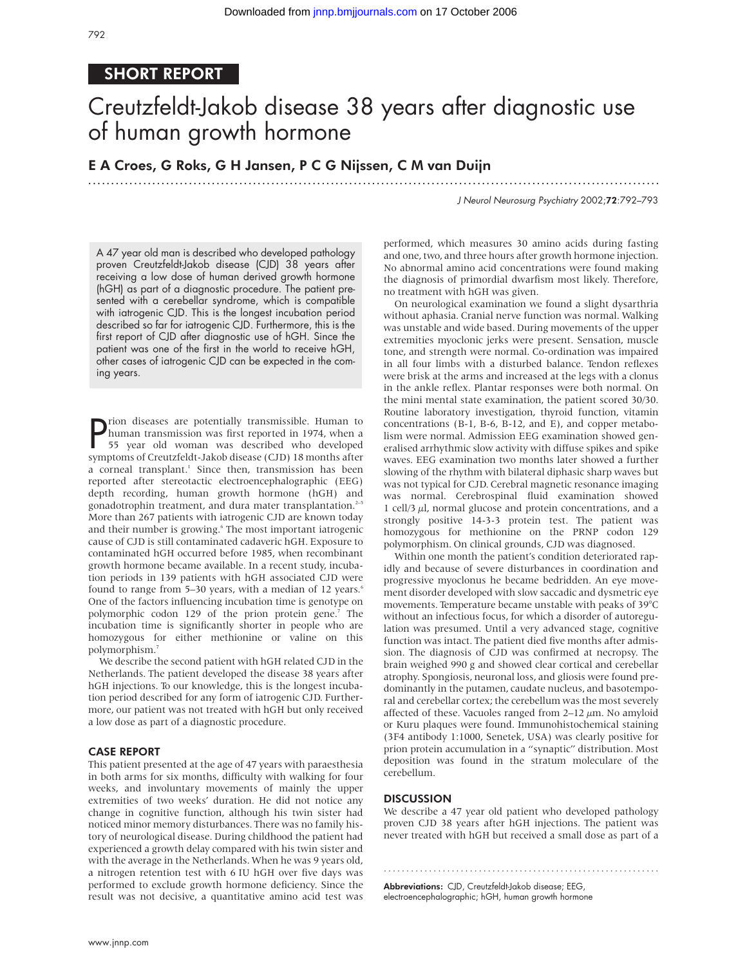## SHORT REPORT

# Creutzfeldt-Jakob disease 38 years after diagnostic use of human growth hormone

.............................................................................................................................

### E A Croes, G Roks, G H Jansen, P C G Nijssen, C M van Duijn

J Neurol Neurosurg Psychiatry 2002;72:792–793

A 47 year old man is described who developed pathology proven Creutzfeldt-Jakob disease (CJD) 38 years after receiving a low dose of human derived growth hormone (hGH) as part of a diagnostic procedure. The patient presented with a cerebellar syndrome, which is compatible with iatrogenic CJD. This is the longest incubation period described so far for iatrogenic CJD. Furthermore, this is the first report of CJD after diagnostic use of hGH. Since the patient was one of the first in the world to receive hGH, other cases of iatrogenic CJD can be expected in the coming years.

**P** rion diseases are potentially transmissible. Human to human transmission was first reported in 1974, when a 55 year old woman was described who developed human transmission was first reported in 1974, when a 55 year old woman was described who developed symptoms of Creutzfeldt-Jakob disease (CJD) 18 months after a corneal transplant.<sup>1</sup> Since then, transmission has been reported after stereotactic electroencephalographic (EEG) depth recording, human growth hormone (hGH) and gonadotrophin treatment, and dura mater transplantation.<sup>2-5</sup> More than 267 patients with iatrogenic CJD are known today and their number is growing.<sup>6</sup> The most important iatrogenic cause of CJD is still contaminated cadaveric hGH. Exposure to contaminated hGH occurred before 1985, when recombinant growth hormone became available. In a recent study, incubation periods in 139 patients with hGH associated CJD were found to range from 5–30 years, with a median of 12 years.<sup>6</sup> One of the factors influencing incubation time is genotype on polymorphic codon 129 of the prion protein gene.<sup>7</sup> The incubation time is significantly shorter in people who are homozygous for either methionine or valine on this polymorphism.7

We describe the second patient with hGH related CJD in the Netherlands. The patient developed the disease 38 years after hGH injections. To our knowledge, this is the longest incubation period described for any form of iatrogenic CJD. Furthermore, our patient was not treated with hGH but only received a low dose as part of a diagnostic procedure.

#### CASE REPORT

This patient presented at the age of 47 years with paraesthesia in both arms for six months, difficulty with walking for four weeks, and involuntary movements of mainly the upper extremities of two weeks' duration. He did not notice any change in cognitive function, although his twin sister had noticed minor memory disturbances. There was no family history of neurological disease. During childhood the patient had experienced a growth delay compared with his twin sister and with the average in the Netherlands. When he was 9 years old, a nitrogen retention test with 6 IU hGH over five days was performed to exclude growth hormone deficiency. Since the result was not decisive, a quantitative amino acid test was

performed, which measures 30 amino acids during fasting and one, two, and three hours after growth hormone injection. No abnormal amino acid concentrations were found making the diagnosis of primordial dwarfism most likely. Therefore, no treatment with hGH was given.

On neurological examination we found a slight dysarthria without aphasia. Cranial nerve function was normal. Walking was unstable and wide based. During movements of the upper extremities myoclonic jerks were present. Sensation, muscle tone, and strength were normal. Co-ordination was impaired in all four limbs with a disturbed balance. Tendon reflexes were brisk at the arms and increased at the legs with a clonus in the ankle reflex. Plantar responses were both normal. On the mini mental state examination, the patient scored 30/30. Routine laboratory investigation, thyroid function, vitamin concentrations (B-1, B-6, B-12, and E), and copper metabolism were normal. Admission EEG examination showed generalised arrhythmic slow activity with diffuse spikes and spike waves. EEG examination two months later showed a further slowing of the rhythm with bilateral diphasic sharp waves but was not typical for CJD. Cerebral magnetic resonance imaging was normal. Cerebrospinal fluid examination showed 1 cell/3  $\mu$ l, normal glucose and protein concentrations, and a strongly positive 14-3-3 protein test. The patient was homozygous for methionine on the PRNP codon 129 polymorphism. On clinical grounds, CJD was diagnosed.

Within one month the patient's condition deteriorated rapidly and because of severe disturbances in coordination and progressive myoclonus he became bedridden. An eye movement disorder developed with slow saccadic and dysmetric eye movements. Temperature became unstable with peaks of 39°C without an infectious focus, for which a disorder of autoregulation was presumed. Until a very advanced stage, cognitive function was intact. The patient died five months after admission. The diagnosis of CJD was confirmed at necropsy. The brain weighed 990 g and showed clear cortical and cerebellar atrophy. Spongiosis, neuronal loss, and gliosis were found predominantly in the putamen, caudate nucleus, and basotemporal and cerebellar cortex; the cerebellum was the most severely affected of these. Vacuoles ranged from  $2-12 \mu m$ . No amyloid or Kuru plaques were found. Immunohistochemical staining (3F4 antibody 1:1000, Senetek, USA) was clearly positive for prion protein accumulation in a "synaptic" distribution. Most deposition was found in the stratum moleculare of the cerebellum.

#### **DISCUSSION**

We describe a 47 year old patient who developed pathology proven CJD 38 years after hGH injections. The patient was never treated with hGH but received a small dose as part of a

.............................................................

Abbreviations: CJD, Creutzfeldt-Jakob disease; EEG, electroencephalographic; hGH, human growth hormone